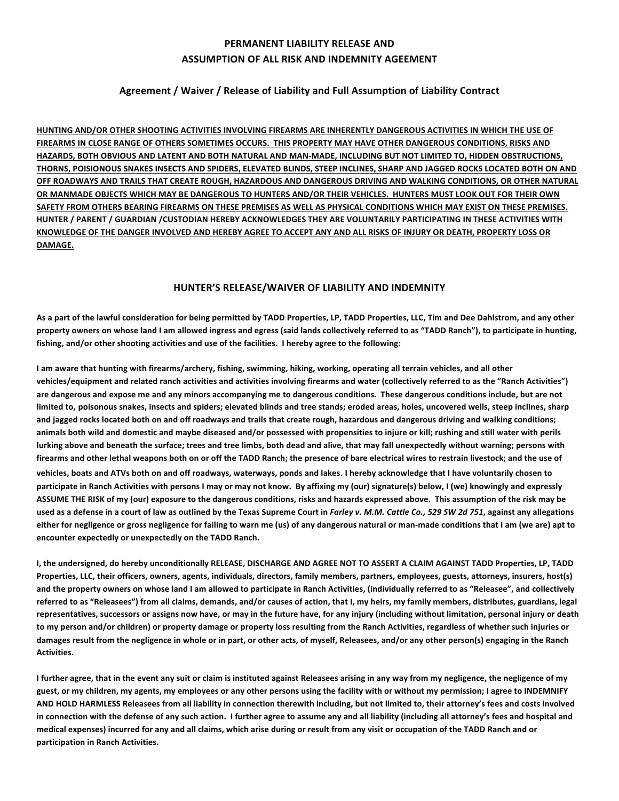# **PERMANENT LIABILITY RELEASE AND ASSUMPTION OF ALL RISK AND INDEMNITY AGEEMENT**

# Agreement / Waiver / Release of Liability and Full Assumption of Liability Contract

HUNTING AND/OR OTHER SHOOTING ACTIVITIES INVOLVING FIREARMS ARE INHERENTLY DANGEROUS ACTIVITIES IN WHICH THE USE OF FIREARMS IN CLOSE RANGE OF OTHERS SOMETIMES OCCURS. THIS PROPERTY MAY HAVE OTHER DANGEROUS CONDITIONS, RISKS AND HAZARDS, BOTH OBVIOUS AND LATENT AND BOTH NATURAL AND MAN-MADE, INCLUDING BUT NOT LIMITED TO, HIDDEN OBSTRUCTIONS, THORNS, POISIONOUS SNAKES INSECTS AND SPIDERS, ELEVATED BLINDS, STEEP INCLINES, SHARP AND JAGGED ROCKS LOCATED BOTH ON AND OFF ROADWAYS AND TRAILS THAT CREATE ROUGH, HAZARDOUS AND DANGEROUS DRIVING AND WALKING CONDITIONS, OR OTHER NATURAL OR MANMADE OBJECTS WHICH MAY BE DANGEROUS TO HUNTERS AND/OR THEIR VEHICLES. HUNTERS MUST LOOK OUT FOR THEIR OWN SAFETY FROM OTHERS BEARING FIREARMS ON THESE PREMISES AS WELL AS PHYSICAL CONDITIONS WHICH MAY EXIST ON THESE PREMISES. HUNTER / PARENT / GUARDIAN /CUSTODIAN HEREBY ACKNOWLEDGES THEY ARE VOLUNTARILY PARTICIPATING IN THESE ACTIVITIES WITH KNOWLEDGE OF THE DANGER INVOLVED AND HEREBY AGREE TO ACCEPT ANY AND ALL RISKS OF INJURY OR DEATH, PROPERTY LOSS OR **DAMAGE.**

## **HUNTER'S RELEASE/WAIVER OF LIABILITY AND INDEMNITY**

As a part of the lawful consideration for being permitted by TADD Properties, LP, TADD Properties, LLC, Tim and Dee Dahlstrom, and any other property owners on whose land I am allowed ingress and egress (said lands collectively referred to as "TADD Ranch"), to participate in hunting, fishing, and/or other shooting activities and use of the facilities. I hereby agree to the following:

I am aware that hunting with firearms/archery, fishing, swimming, hiking, working, operating all terrain vehicles, and all other vehicles/equipment and related ranch activities and activities involving firearms and water (collectively referred to as the "Ranch Activities") are dangerous and expose me and any minors accompanying me to dangerous conditions. These dangerous conditions include, but are not limited to, poisonous snakes, insects and spiders; elevated blinds and tree stands; eroded areas, holes, uncovered wells, steep inclines, sharp and jagged rocks located both on and off roadways and trails that create rough, hazardous and dangerous driving and walking conditions; animals both wild and domestic and maybe diseased and/or possessed with propensities to injure or kill; rushing and still water with perils lurking above and beneath the surface; trees and tree limbs, both dead and alive, that may fall unexpectedly without warning; persons with firearms and other lethal weapons both on or off the TADD Ranch; the presence of bare electrical wires to restrain livestock; and the use of vehicles, boats and ATVs both on and off roadways, waterways, ponds and lakes. I hereby acknowledge that I have voluntarily chosen to participate in Ranch Activities with persons I may or may not know. By affixing my (our) signature(s) below, I (we) knowingly and expressly ASSUME THE RISK of my (our) exposure to the dangerous conditions, risks and hazards expressed above. This assumption of the risk may be used as a defense in a court of law as outlined by the Texas Supreme Court in *Farley v. M.M. Cattle Co., 529 SW 2d 751*, against any allegations either for negligence or gross negligence for failing to warn me (us) of any dangerous natural or man-made conditions that I am (we are) apt to

encounter expectedly or unexpectedly on the TADD Ranch.

I, the undersigned, do hereby unconditionally RELEASE, DISCHARGE AND AGREE NOT TO ASSERT A CLAIM AGAINST TADD Properties, LP, TADD Properties, LLC, their officers, owners, agents, individuals, directors, family members, partners, employees, guests, attorneys, insurers, host(s) and the property owners on whose land I am allowed to participate in Ranch Activities, (individually referred to as "Releasee", and collectively referred to as "Releasees") from all claims, demands, and/or causes of action, that I, my heirs, my family members, distributes, guardians, legal representatives, successors or assigns now have, or may in the future have, for any injury (including without limitation, personal injury or death to my person and/or children) or property damage or property loss resulting from the Ranch Activities, regardless of whether such injuries or damages result from the negligence in whole or in part, or other acts, of myself, Releasees, and/or any other person(s) engaging in the Ranch **Activities.**

I further agree, that in the event any suit or claim is instituted against Releasees arising in any way from my negligence, the negligence of my guest, or my children, my agents, my employees or any other persons using the facility with or without my permission; I agree to INDEMNIFY AND HOLD HARMLESS Releasees from all liability in connection therewith including, but not limited to, their attorney's fees and costs involved in connection with the defense of any such action. I further agree to assume any and all liability (including all attorney's fees and hospital and medical expenses) incurred for any and all claims, which arise during or result from any visit or occupation of the TADD Ranch and or **participation in Ranch Activities.**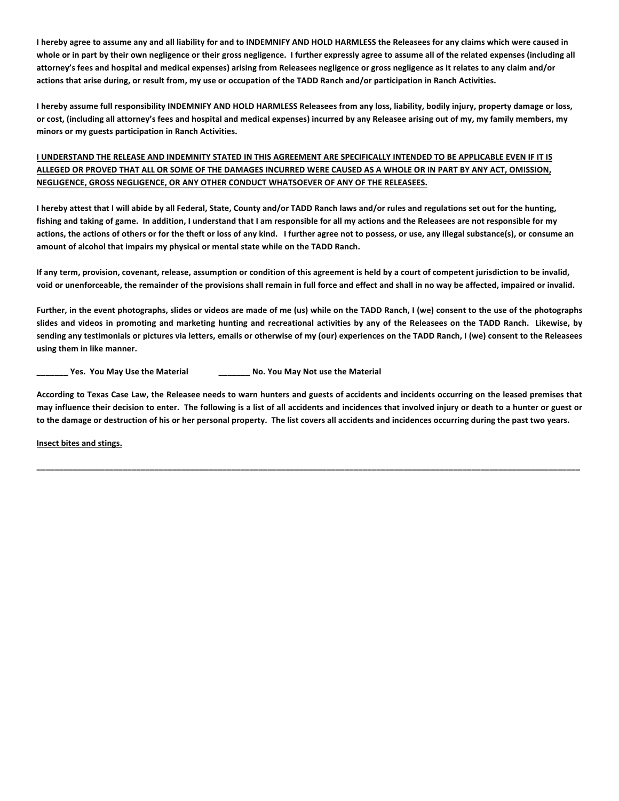I hereby agree to assume any and all liability for and to INDEMNIFY AND HOLD HARMLESS the Releasees for any claims which were caused in whole or in part by their own negligence or their gross negligence. I further expressly agree to assume all of the related expenses (including all attorney's fees and hospital and medical expenses) arising from Releasees negligence or gross negligence as it relates to any claim and/or actions that arise during, or result from, my use or occupation of the TADD Ranch and/or participation in Ranch Activities.

I hereby assume full responsibility INDEMNIFY AND HOLD HARMLESS Releasees from any loss, liability, bodily injury, property damage or loss, or cost, (including all attorney's fees and hospital and medical expenses) incurred by any Releasee arising out of my, my family members, my minors or my guests participation in Ranch Activities.

# **I UNDERSTAND THE RELEASE AND INDEMNITY STATED IN THIS AGREEMENT ARE SPECIFICALLY INTENDED TO BE APPLICABLE EVEN IF IT IS** ALLEGED OR PROVED THAT ALL OR SOME OF THE DAMAGES INCURRED WERE CAUSED AS A WHOLE OR IN PART BY ANY ACT, OMISSION, **NEGLIGENCE, GROSS NEGLIGENCE, OR ANY OTHER CONDUCT WHATSOEVER OF ANY OF THE RELEASEES.**

I hereby attest that I will abide by all Federal, State, County and/or TADD Ranch laws and/or rules and regulations set out for the hunting, fishing and taking of game. In addition, I understand that I am responsible for all my actions and the Releasees are not responsible for my actions, the actions of others or for the theft or loss of any kind. I further agree not to possess, or use, any illegal substance(s), or consume an amount of alcohol that impairs my physical or mental state while on the TADD Ranch.

If any term, provision, covenant, release, assumption or condition of this agreement is held by a court of competent jurisdiction to be invalid, void or unenforceable, the remainder of the provisions shall remain in full force and effect and shall in no way be affected, impaired or invalid.

Further, in the event photographs, slides or videos are made of me (us) while on the TADD Ranch, I (we) consent to the use of the photographs slides and videos in promoting and marketing hunting and recreational activities by any of the Releasees on the TADD Ranch. Likewise, by sending any testimonials or pictures via letters, emails or otherwise of my (our) experiences on the TADD Ranch, I (we) consent to the Releasees using them in like manner.

#### **\_\_\_\_\_\_\_ Yes. You May Use the Material \_\_\_\_\_\_\_ No. You May Not use the Material**

According to Texas Case Law, the Releasee needs to warn hunters and guests of accidents and incidents occurring on the leased premises that may influence their decision to enter. The following is a list of all accidents and incidences that involved injury or death to a hunter or guest or to the damage or destruction of his or her personal property. The list covers all accidents and incidences occurring during the past two years.

**\_\_\_\_\_\_\_\_\_\_\_\_\_\_\_\_\_\_\_\_\_\_\_\_\_\_\_\_\_\_\_\_\_\_\_\_\_\_\_\_\_\_\_\_\_\_\_\_\_\_\_\_\_\_\_\_\_\_\_\_\_\_\_\_\_\_\_\_\_\_\_\_\_\_\_\_\_\_\_\_\_\_\_\_\_\_\_\_\_\_\_\_\_\_\_\_\_\_\_\_\_\_\_\_\_\_\_\_\_\_\_\_\_\_\_\_\_\_\_\_**

**Insect bites and stings.**